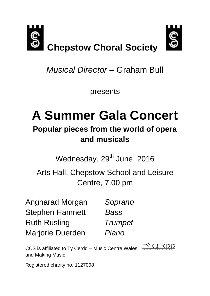

*Musical Director –* Graham Bull

presents

# **A Summer Gala Concert**

# **Popular pieces from the world of opera and musicals**

Wednesday, 29<sup>th</sup> June, 2016

Arts Hall, Chepstow School and Leisure Centre, 7.00 pm

Angharad Morgan *Soprano* Stephen Hamnett *Bass* Ruth Rusling *Trumpet* Marjorie Duerden *Piano*

CCS is affiliated to Ty Cerdd – Music Centre Wales and Making Music

TŶ CERDD

Registered charity no. 1127098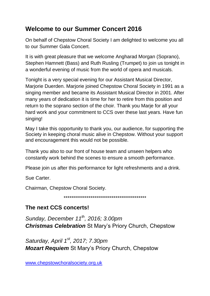# **Welcome to our Summer Concert 2016**

On behalf of Chepstow Choral Society I am delighted to welcome you all to our Summer Gala Concert.

It is with great pleasure that we welcome Angharad Morgan (Soprano), Stephen Hamnett (Bass) and Ruth Rusling (Trumpet) to join us tonight in a wonderful evening of music from the world of opera and musicals.

Tonight is a very special evening for our Assistant Musical Director, Marjorie Duerden. Marjorie joined Chepstow Choral Society in 1991 as a singing member and became its Assistant Musical Director in 2001. After many years of dedication it is time for her to retire from this position and return to the soprano section of the choir. Thank you Marje for all your hard work and your commitment to CCS over these last years. Have fun singing!

May I take this opportunity to thank you, our audience, for supporting the Society in keeping choral music alive in Chepstow. Without your support and encouragement this would not be possible.

Thank you also to our front of house team and unseen helpers who constantly work behind the scenes to ensure a smooth performance.

Please join us after this performance for light refreshments and a drink.

Sue Carter.

Chairman, Chepstow Choral Society.

\*\*\*\*\*\*\*\*\*\*\*\*\*\*\*\*\*\*\*\*\*\*\*\*\*\*\*\*\*\*\*\*\*\*\*\*\*\*\*\*\*\*\*

# **The next CCS concerts!**

*Sunday, December 11 th , 2016; 3.00pm Christmas Celebration* St Mary's Priory Church, Chepstow

*Saturday, April 1st, 2017; 7.30pm Mozart Requiem* St Mary's Priory Church, Chepstow

[www.chepstowchoralsociety.org.uk](http://www.chepstowchoralsociety.org.uk/)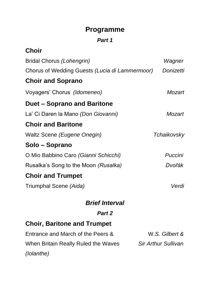# **Programme**

### *Part 1*

| <b>Choir</b>                                   |                            |
|------------------------------------------------|----------------------------|
| <b>Bridal Chorus (Lohengrin)</b>               | Wagner                     |
| Chorus of Wedding Guests (Lucia di Lammermoor) | Donizetti                  |
| <b>Choir and Soprano</b>                       |                            |
| Voyagers' Chorus (Idomeneo)                    | Mozart                     |
| Duet – Soprano and Baritone                    |                            |
| La' Ci Daren la Mano <i>(Don Giovanni)</i>     | Mozart                     |
| <b>Choir and Baritone</b>                      |                            |
| Waltz Scene (Eugene Onegin)                    | Tchaikovsky                |
| Solo – Soprano                                 |                            |
| O Mio Babbino Caro (Gianni Schicchi)           | Puccini                    |
| Rusalka's Song to the Moon (Rusalka)           | Dvořák                     |
| <b>Choir and Trumpet</b>                       |                            |
| Triumphal Scene <i>(Aida)</i>                  | Verdi                      |
| <b>Brief Interval</b>                          |                            |
| Part 2                                         |                            |
| <b>Choir, Baritone and Trumpet</b>             |                            |
| Entrance and March of the Peers &              | W.S. Gilbert &             |
| When Britain Really Ruled the Waves            | <b>Sir Arthur Sullivan</b> |

*(Iolanthe)*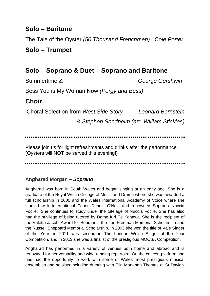# **Solo – Baritone**

The Tale of the Oyster *(50 Thousand Frenchmen) Cole Porter*

# **Solo – Trumpet**

# **Solo – Soprano & Duet – Soprano and Baritone**

Summertime & *George Gershwin*

Bess You is My Woman Now *(Porgy and Bess)*

# **Choir**

Choral Selection from *West Side Story Leonard Bernstein* 

*& Stephen Sondheim (arr. William Stickles)*

Please join us for light refreshments and drinks after the performance. (Oysters will NOT be served this evening!)

#### **Angharad Morgan –** *Soprano*

Angharad was born in South Wales and began singing at an early age. She is a graduate of the Royal Welsh College of Music and Drama where she was awarded a full scholarship in 2000 and the Wales International Academy of Voice where she studied with International Tenor Dennis O'Neill and renowned Soprano Nuccia Focile. She continues to study under the tutelage of Nuccia Focile. She has also had the privilege of being tutored by Dame Kiri Te Kanawa. She is the recipient of the Valetta Jacobi Award for Sopranos, the Lee Freeman Memorial Scholarship and the Russell Sheppard Memorial Scholarship. In 2003 she won the title of Vale Singer of the Year, in 2011 was second in The London Welsh Singer of the Year Competition, and in 2013 she was a finalist of the prestigious MOCSA Competition.

Angharad has performed in a variety of venues both home and abroad and is renowned for her versatility and wide ranging repertoire. On the concert platform she has had the opportunity to work with some of Wales' most prestigious musical ensembles and soloists including duetting with Elin Manahan Thomas at St David's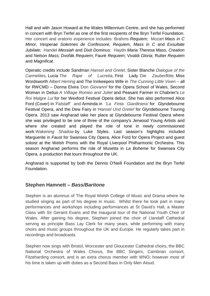Hall and with Jason Howard at the Wales Millennium Centre, and she has performed in concert with Bryn Terfel as one of the first recipients of the Bryn Terfel Foundation. Her concert and oratorio experience includes: Brahms *Requiem;* Mozart *Mass in C Minor, Vesperae Solennes de Confessore, Requiem, Mass in C* and *Exsultate Jubilate;* Handel *Messiah* and *Dixit Dominus;* Haydn *Maria Theresa Mass, Creation*  and *Nelson Mass;* Dvořák *Requiem*; Fauré *Requiem*; Vivaldi *Gloria*; Rutter *Requiem*  and *Magnificat.*

Operatic credits include Sandman *Hansel and Gretel,* Sister Blanche *Dialogue of the Carmelites,* Lucia *The Rape of Lucretia,* First Lady *'Die Zauberflöte,* Miss Wordsworth *Albert Herring* and The Innkeepers Wife in *The Cunning Little Vixen* – all for RWCMD – Donna Elvira *'Don Giovanni'* for the Opera School of Wales, Second Woman in Delius *A Villiage Romeo and Juliet* and Peasant Farmer in Chabrier's *Le Roi Malgre Lui* for her Wexford Festival Opera debut. She has also performed Alice Ford (Cover) in *'Falstaff'* and Arminda in *'La Finta Giardiniera'* for Glyndebourne Festival Opera, and the Dew Fairy in '*Hansel Und Gretel'* for Glyndebourne Touring Opera. 2013 saw Angharad take her place at Glyndebourne Festival Opera where she was privileged to be one of three of the company's Jerwood Young Artists and where she created and played the role of Ione in newly commissioned work *Wakening Shadow* by Luke Styles. Last season's highlights included Marguerite in *Faust* for Swansea City Opera, Alice Ford for Opera Project and guest soloist at the Welsh Proms with the Royal Liverpool Philharmonic Orchestra. This season Angharad performs the role of Musetta in *La Boheme* for Swansea City Opera, a production that tours throughout the UK.

Angharad is supported by both the Dennis O'Neill Foundation and the Bryn Terfel Foundation.

#### **Stephen Hamnett –** *Bass/Baritone*

Stephen is an alumnus of The Royal Welsh College of Music and Drama where he studied singing as part of his degree in music. Whilst there he took part in many performances and workshops including performances at St David's Hall, a Master Class with Sir Geraint Evans and the inaugural tour of the National Youth Choir of Wales. After gaining his degree, Stephen joined the choir of Llandaff Cathedral serving as principle Bass Lay Clerk for many years, while performing with many choirs and music groups throughout the UK and Europe. He regularly takes part in recordings and broadcasts.

Stephen now sings with Bristol, Worcester and Gloucester Cathedral choirs, the BBC National Orchestra of Wales Chorus, the BBC Singers, Cambrian consort, Fitzeharding consort, and is an extra chorus member with WNO; however most of his time is taken up with duties as a Second Bass in Only Men Aloud.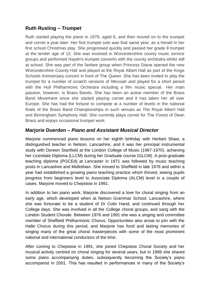#### **Ruth Rusling –** *Trumpet*

Ruth started playing the piano in 1979, aged 6, and then moved on to the trumpet and cornet a year later. Her first trumpet solo was that same year, as a herald in her first school Christmas play. She progressed quickly and passed her grade 8 trumpet at the tender age of 12. She was involved in Worcestershire county music service groups and performed Haydn's trumpet concerto with the county orchestra whilst still at school. She was part of the fanfare group when Princess Diana opened the new Worcestershire County Hall and played at the Royal Albert Hall as part of the Kings Schools Anniversary concert in front of The Queen. She has been invited to play the trumpet for a number of scratch versions of *Messiah* and played for a short period with the Hull Philharmonic Orchestra including a film music special. Her main passion, however, is Brass Bands. She has been an active member of the Brass Band Movement since she started playing cornet and it has taken her all over Europe. She has had the fortune to compete at a number of levels in the national finals of the Brass Band Championships in such venues as The Royal Albert Hall and Birmingham Symphony Hall. She currently plays cornet for The Forest of Dean Brass and enjoys occasional trumpet work.

#### **Marjorie Duerden –** *Piano and Assistant Musical Director*

Marjorie commenced piano lessons on her eighth birthday with Herbert Shaw, a distinguished teacher in Nelson, Lancashire, and it was her principal instrumental study with Doreen Stanfield at the London College of Music (1967-1970), achieving her Licentiate Diploma (LLCM) during her Graduate course (GLCM). A post-graduate teaching diploma (PGCEd) at Lancaster in 1971 was followed by music teaching posts in Lancashire and Midlothian. She moved to Sheffield in late 1976 and within a year had established a growing piano teaching practice which thrived, seeing pupils progress from beginners level to Associate Diploma (ALCM) level in a couple of cases. Marjorie moved to Chepstow in 1991.

In addition to her piano work, Marjorie discovered a love for choral singing from an early age, which developed when at Nelson Grammar School, Lancashire, where she was fortunate to be a student of Dr Colin Hand, and continued through her College days. She was involved in all the College choral groups, and sang with the London Student Chorale. Between 1976 and 1991 she was a singing and committee member of Sheffield Philharmonic Chorus. Opportunities also arose to join with the Halle Chorus during this period, and Marjorie has fond and lasting memories of singing many of the great choral masterpieces with some of the most prominent national and international conductors of the time.

After coming to Chepstow in 1991, she joined Chepstow Choral Society and her musical activity centred on choral singing for several years, but in 1999 she shared some piano accompanying duties, subsequently becoming the Society's piano accompanist in 2001. This has resulted in performances in many of the Society's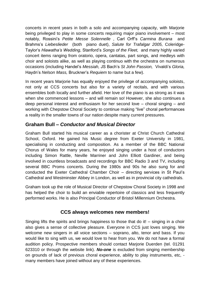concerts in recent years in both a solo and accompanying capacity, with Marjorie being privileged to play in some concerts requiring major piano involvement – most notably, Rossini's *Petite Messe Solennelle* , Carl Orff's *Carmina Burana* and Brahms's *Liebeslieder* (both piano duet), *Salute for Trafalgar 2005,* Coleridge-Taylor's *Hiawatha's Wedding*, Stanford's *Songs of the Fleet,* and many highly varied concert items ranging from oratorio, opera, cantatas, part songs, and medleys with choir and soloists alike, as well as playing continuo with the orchestra on numerous occasions (including Handel's *Messiah,* JS Bach's *St John Passion,* Vivaldi's *Gloria,*  Haydn's *Nelson Mass,* Bruckner's *Requiem* to name but a few).

In recent years Marjorie has equally enjoyed the privilege of accompanying soloists, not only at CCS concerts but also for a variety of recitals, and with various ensembles both locally and further afield. Her love of the piano is as strong as it was when she commenced lessons – and will remain so! However, she also continues a deep personal interest and enthusiasm for her second love – choral singing – and working with Chepstow Choral Society to continue making "live" choral performances a reality in the smaller towns of our nation despite many current pressures.

#### **Graham Bull –** *Conductor and Musical Director*

Graham Bull started his musical career as a chorister at Christ Church Cathedral School, Oxford. He gained his Music degree from Exeter University in 1981, specialising in conducting and composition. As a member of the BBC National Chorus of Wales for many years, he enjoyed singing under a host of conductors including Simon Rattle, Neville Marriner and John Elliott Gardiner, and being involved in countless broadcasts and recordings for BBC Radio 3 and TV, including several BBC Proms concerts. During the 1980s and 90s he also sung for and conducted the Exeter Cathedral Chamber Choir – directing services in St Paul's Cathedral and Westminster Abbey in London, as well as in provincial city cathedrals.

Graham took up the role of Musical Director of Chepstow Choral Society in 1998 and has helped the choir to build an enviable repertoire of classics and less frequently performed works. He is also Principal Conductor of Bristol Millennium Orchestra.

#### **CCS always welcomes new members!**

Singing lifts the spirits and brings happiness to those that do it! – singing in a choir also gives a sense of collective pleasure. Everyone in CCS just loves singing. We welcome new singers in all voice sections – soprano, alto, tenor and bass. If you would like to sing with us, we would love to hear from you. We do not have a formal audition policy. Prospective members should contact Marjorie Duerden (tel. 01291 623310 or through the website link). *No-one* is excluded from singing membership on grounds of lack of previous choral experience, ability to play instruments, etc, many members have joined without any of these experiences.